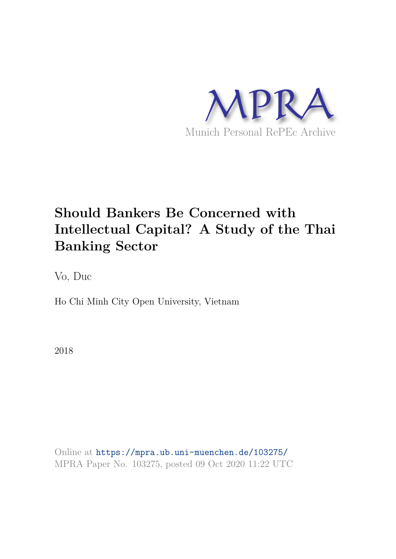

# **Should Bankers Be Concerned with Intellectual Capital? A Study of the Thai Banking Sector**

Vo, Duc

Ho Chi Minh City Open University, Vietnam

2018

Online at https://mpra.ub.uni-muenchen.de/103275/ MPRA Paper No. 103275, posted 09 Oct 2020 11:22 UTC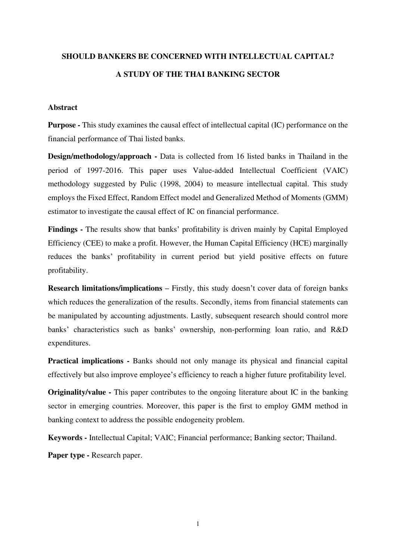# **SHOULD BANKERS BE CONCERNED WITH INTELLECTUAL CAPITAL? A STUDY OF THE THAI BANKING SECTOR**

# **Abstract**

**Purpose -** This study examines the causal effect of intellectual capital (IC) performance on the financial performance of Thai listed banks.

**Design/methodology/approach** - Data is collected from 16 listed banks in Thailand in the period of 1997-2016. This paper uses Value-added Intellectual Coefficient (VAIC) methodology suggested by Pulic (1998, 2004) to measure intellectual capital. This study employs the Fixed Effect, Random Effect model and Generalized Method of Moments (GMM) estimator to investigate the causal effect of IC on financial performance.

**Findings** - The results show that banks' profitability is driven mainly by Capital Employed Efficiency (CEE) to make a profit. However, the Human Capital Efficiency (HCE) marginally reduces the banks' profitability in current period but yield positive effects on future profitability.

**Research limitations/implications – Firstly, this study doesn't cover data of foreign banks** which reduces the generalization of the results. Secondly, items from financial statements can be manipulated by accounting adjustments. Lastly, subsequent research should control more banks' characteristics such as banks' ownership, non-performing loan ratio, and R&D expenditures.

**Practical implications - Banks should not only manage its physical and financial capital** effectively but also improve employee's efficiency to reach a higher future profitability level.

**Originality/value -** This paper contributes to the ongoing literature about IC in the banking sector in emerging countries. Moreover, this paper is the first to employ GMM method in banking context to address the possible endogeneity problem.

**Keywords -** Intellectual Capital; VAIC; Financial performance; Banking sector; Thailand.

Paper type - Research paper.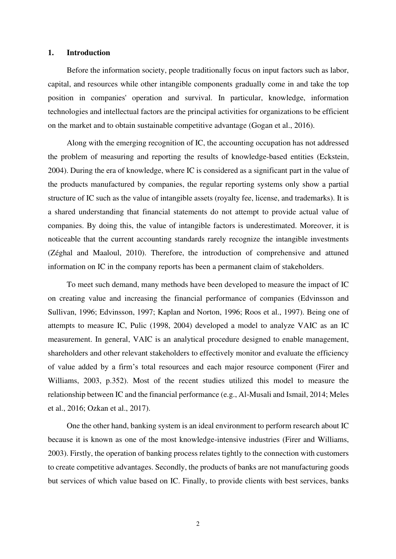#### **1. Introduction**

Before the information society, people traditionally focus on input factors such as labor, capital, and resources while other intangible components gradually come in and take the top position in companies' operation and survival. In particular, knowledge, information technologies and intellectual factors are the principal activities for organizations to be efficient on the market and to obtain sustainable competitive advantage (Gogan et al., 2016).

Along with the emerging recognition of IC, the accounting occupation has not addressed the problem of measuring and reporting the results of knowledge-based entities (Eckstein, 2004). During the era of knowledge, where IC is considered as a significant part in the value of the products manufactured by companies, the regular reporting systems only show a partial structure of IC such as the value of intangible assets (royalty fee, license, and trademarks). It is a shared understanding that financial statements do not attempt to provide actual value of companies. By doing this, the value of intangible factors is underestimated. Moreover, it is noticeable that the current accounting standards rarely recognize the intangible investments (Zéghal and Maaloul, 2010). Therefore, the introduction of comprehensive and attuned information on IC in the company reports has been a permanent claim of stakeholders.

To meet such demand, many methods have been developed to measure the impact of IC on creating value and increasing the financial performance of companies (Edvinsson and Sullivan, 1996; Edvinsson, 1997; Kaplan and Norton, 1996; Roos et al., 1997). Being one of attempts to measure IC, Pulic (1998, 2004) developed a model to analyze VAIC as an IC measurement. In general, VAIC is an analytical procedure designed to enable management, shareholders and other relevant stakeholders to effectively monitor and evaluate the efficiency of value added by a firm's total resources and each major resource component (Firer and Williams, 2003, p.352). Most of the recent studies utilized this model to measure the relationship between IC and the financial performance (e.g., Al-Musali and Ismail, 2014; Meles et al., 2016; Ozkan et al., 2017).

One the other hand, banking system is an ideal environment to perform research about IC because it is known as one of the most knowledge-intensive industries (Firer and Williams, 2003). Firstly, the operation of banking process relates tightly to the connection with customers to create competitive advantages. Secondly, the products of banks are not manufacturing goods but services of which value based on IC. Finally, to provide clients with best services, banks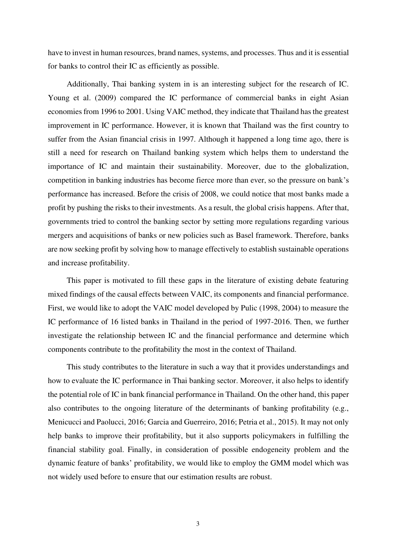have to invest in human resources, brand names, systems, and processes. Thus and it is essential for banks to control their IC as efficiently as possible.

Additionally, Thai banking system in is an interesting subject for the research of IC. Young et al. (2009) compared the IC performance of commercial banks in eight Asian economies from 1996 to 2001. Using VAIC method, they indicate that Thailand has the greatest improvement in IC performance. However, it is known that Thailand was the first country to suffer from the Asian financial crisis in 1997. Although it happened a long time ago, there is still a need for research on Thailand banking system which helps them to understand the importance of IC and maintain their sustainability. Moreover, due to the globalization, competition in banking industries has become fierce more than ever, so the pressure on bank's performance has increased. Before the crisis of 2008, we could notice that most banks made a profit by pushing the risks to their investments. As a result, the global crisis happens. After that, governments tried to control the banking sector by setting more regulations regarding various mergers and acquisitions of banks or new policies such as Basel framework. Therefore, banks are now seeking profit by solving how to manage effectively to establish sustainable operations and increase profitability.

This paper is motivated to fill these gaps in the literature of existing debate featuring mixed findings of the causal effects between VAIC, its components and financial performance. First, we would like to adopt the VAIC model developed by Pulic (1998, 2004) to measure the IC performance of 16 listed banks in Thailand in the period of 1997-2016. Then, we further investigate the relationship between IC and the financial performance and determine which components contribute to the profitability the most in the context of Thailand.

This study contributes to the literature in such a way that it provides understandings and how to evaluate the IC performance in Thai banking sector. Moreover, it also helps to identify the potential role of IC in bank financial performance in Thailand. On the other hand, this paper also contributes to the ongoing literature of the determinants of banking profitability (e.g., Menicucci and Paolucci, 2016; Garcia and Guerreiro, 2016; Petria et al., 2015). It may not only help banks to improve their profitability, but it also supports policymakers in fulfilling the financial stability goal. Finally, in consideration of possible endogeneity problem and the dynamic feature of banks' profitability, we would like to employ the GMM model which was not widely used before to ensure that our estimation results are robust.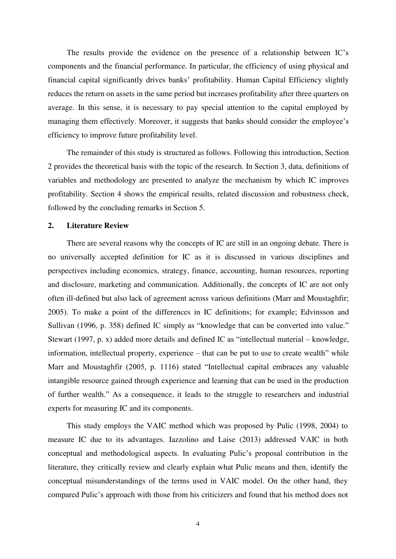The results provide the evidence on the presence of a relationship between IC's components and the financial performance. In particular, the efficiency of using physical and financial capital significantly drives banks' profitability. Human Capital Efficiency slightly reduces the return on assets in the same period but increases profitability after three quarters on average. In this sense, it is necessary to pay special attention to the capital employed by managing them effectively. Moreover, it suggests that banks should consider the employee's efficiency to improve future profitability level.

The remainder of this study is structured as follows. Following this introduction, Section 2 provides the theoretical basis with the topic of the research. In Section 3, data, definitions of variables and methodology are presented to analyze the mechanism by which IC improves profitability. Section 4 shows the empirical results, related discussion and robustness check, followed by the concluding remarks in Section 5.

# **2. Literature Review**

There are several reasons why the concepts of IC are still in an ongoing debate. There is no universally accepted definition for IC as it is discussed in various disciplines and perspectives including economics, strategy, finance, accounting, human resources, reporting and disclosure, marketing and communication. Additionally, the concepts of IC are not only often ill-defined but also lack of agreement across various definitions (Marr and Moustaghfir; 2005). To make a point of the differences in IC definitions; for example; Edvinsson and Sullivan (1996, p. 358) defined IC simply as "knowledge that can be converted into value." Stewart (1997, p. x) added more details and defined IC as "intellectual material – knowledge, information, intellectual property, experience – that can be put to use to create wealth" while Marr and Moustaghfir (2005, p. 1116) stated "Intellectual capital embraces any valuable intangible resource gained through experience and learning that can be used in the production of further wealth." As a consequence, it leads to the struggle to researchers and industrial experts for measuring IC and its components.

This study employs the VAIC method which was proposed by Pulic (1998, 2004) to measure IC due to its advantages. Iazzolino and Laise (2013) addressed VAIC in both conceptual and methodological aspects. In evaluating Pulic's proposal contribution in the literature, they critically review and clearly explain what Pulic means and then, identify the conceptual misunderstandings of the terms used in VAIC model. On the other hand, they compared Pulic's approach with those from his criticizers and found that his method does not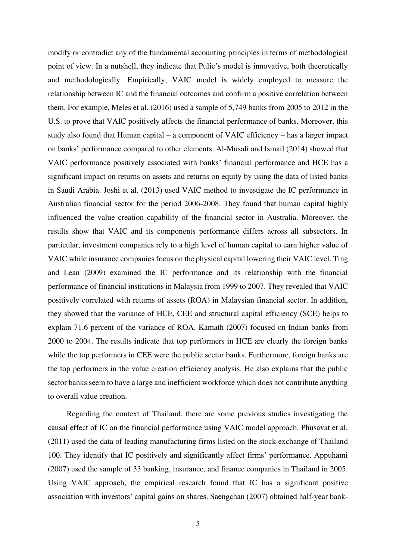modify or contradict any of the fundamental accounting principles in terms of methodological point of view. In a nutshell, they indicate that Pulic's model is innovative, both theoretically and methodologically. Empirically, VAIC model is widely employed to measure the relationship between IC and the financial outcomes and confirm a positive correlation between them. For example, Meles et al. (2016) used a sample of 5,749 banks from 2005 to 2012 in the U.S. to prove that VAIC positively affects the financial performance of banks. Moreover, this study also found that Human capital – a component of VAIC efficiency – has a larger impact on banks' performance compared to other elements. Al-Musali and Ismail (2014) showed that VAIC performance positively associated with banks' financial performance and HCE has a significant impact on returns on assets and returns on equity by using the data of listed banks in Saudi Arabia. Joshi et al. (2013) used VAIC method to investigate the IC performance in Australian financial sector for the period 2006-2008. They found that human capital highly influenced the value creation capability of the financial sector in Australia. Moreover, the results show that VAIC and its components performance differs across all subsectors. In particular, investment companies rely to a high level of human capital to earn higher value of VAIC while insurance companies focus on the physical capital lowering their VAIC level. Ting and Lean (2009) examined the IC performance and its relationship with the financial performance of financial institutions in Malaysia from 1999 to 2007. They revealed that VAIC positively correlated with returns of assets (ROA) in Malaysian financial sector. In addition, they showed that the variance of HCE, CEE and structural capital efficiency (SCE) helps to explain 71.6 percent of the variance of ROA. Kamath (2007) focused on Indian banks from 2000 to 2004. The results indicate that top performers in HCE are clearly the foreign banks while the top performers in CEE were the public sector banks. Furthermore, foreign banks are the top performers in the value creation efficiency analysis. He also explains that the public sector banks seem to have a large and inefficient workforce which does not contribute anything to overall value creation.

Regarding the context of Thailand, there are some previous studies investigating the causal effect of IC on the financial performance using VAIC model approach. Phusavat et al. (2011) used the data of leading manufacturing firms listed on the stock exchange of Thailand 100. They identify that IC positively and significantly affect firms' performance. Appuhami (2007) used the sample of 33 banking, insurance, and finance companies in Thailand in 2005. Using VAIC approach, the empirical research found that IC has a significant positive association with investors' capital gains on shares. Saengchan (2007) obtained half-year bank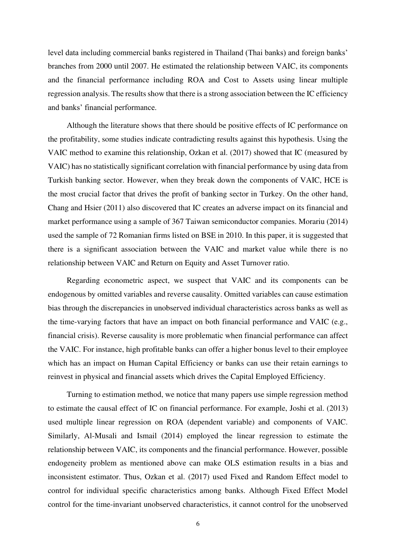level data including commercial banks registered in Thailand (Thai banks) and foreign banks' branches from 2000 until 2007. He estimated the relationship between VAIC, its components and the financial performance including ROA and Cost to Assets using linear multiple regression analysis. The results show that there is a strong association between the IC efficiency and banks' financial performance.

Although the literature shows that there should be positive effects of IC performance on the profitability, some studies indicate contradicting results against this hypothesis. Using the VAIC method to examine this relationship, Ozkan et al. (2017) showed that IC (measured by VAIC) has no statistically significant correlation with financial performance by using data from Turkish banking sector. However, when they break down the components of VAIC, HCE is the most crucial factor that drives the profit of banking sector in Turkey. On the other hand, Chang and Hsier (2011) also discovered that IC creates an adverse impact on its financial and market performance using a sample of 367 Taiwan semiconductor companies. Morariu (2014) used the sample of 72 Romanian firms listed on BSE in 2010. In this paper, it is suggested that there is a significant association between the VAIC and market value while there is no relationship between VAIC and Return on Equity and Asset Turnover ratio.

Regarding econometric aspect, we suspect that VAIC and its components can be endogenous by omitted variables and reverse causality. Omitted variables can cause estimation bias through the discrepancies in unobserved individual characteristics across banks as well as the time-varying factors that have an impact on both financial performance and VAIC (e.g., financial crisis). Reverse causality is more problematic when financial performance can affect the VAIC. For instance, high profitable banks can offer a higher bonus level to their employee which has an impact on Human Capital Efficiency or banks can use their retain earnings to reinvest in physical and financial assets which drives the Capital Employed Efficiency.

Turning to estimation method, we notice that many papers use simple regression method to estimate the causal effect of IC on financial performance. For example, Joshi et al. (2013) used multiple linear regression on ROA (dependent variable) and components of VAIC. Similarly, Al-Musali and Ismail (2014) employed the linear regression to estimate the relationship between VAIC, its components and the financial performance. However, possible endogeneity problem as mentioned above can make OLS estimation results in a bias and inconsistent estimator. Thus, Ozkan et al. (2017) used Fixed and Random Effect model to control for individual specific characteristics among banks. Although Fixed Effect Model control for the time-invariant unobserved characteristics, it cannot control for the unobserved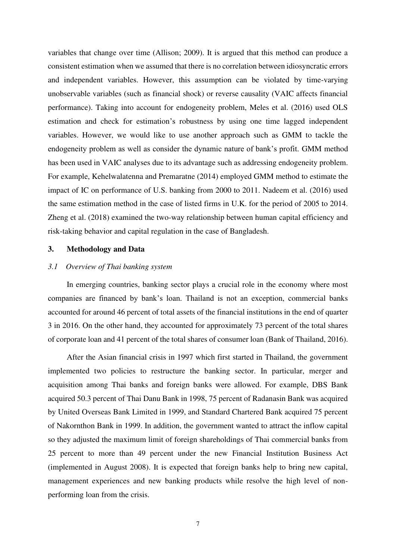variables that change over time (Allison; 2009). It is argued that this method can produce a consistent estimation when we assumed that there is no correlation between idiosyncratic errors and independent variables. However, this assumption can be violated by time-varying unobservable variables (such as financial shock) or reverse causality (VAIC affects financial performance). Taking into account for endogeneity problem, Meles et al. (2016) used OLS estimation and check for estimation's robustness by using one time lagged independent variables. However, we would like to use another approach such as GMM to tackle the endogeneity problem as well as consider the dynamic nature of bank's profit. GMM method has been used in VAIC analyses due to its advantage such as addressing endogeneity problem. For example, Kehelwalatenna and Premaratne (2014) employed GMM method to estimate the impact of IC on performance of U.S. banking from 2000 to 2011. Nadeem et al. (2016) used the same estimation method in the case of listed firms in U.K. for the period of 2005 to 2014. Zheng et al. (2018) examined the two-way relationship between human capital efficiency and risk-taking behavior and capital regulation in the case of Bangladesh.

#### **3. Methodology and Data**

### *3.1 Overview of Thai banking system*

In emerging countries, banking sector plays a crucial role in the economy where most companies are financed by bank's loan. Thailand is not an exception, commercial banks accounted for around 46 percent of total assets of the financial institutions in the end of quarter 3 in 2016. On the other hand, they accounted for approximately 73 percent of the total shares of corporate loan and 41 percent of the total shares of consumer loan (Bank of Thailand, 2016).

After the Asian financial crisis in 1997 which first started in Thailand, the government implemented two policies to restructure the banking sector. In particular, merger and acquisition among Thai banks and foreign banks were allowed. For example, DBS Bank acquired 50.3 percent of Thai Danu Bank in 1998, 75 percent of Radanasin Bank was acquired by United Overseas Bank Limited in 1999, and Standard Chartered Bank acquired 75 percent of Nakornthon Bank in 1999. In addition, the government wanted to attract the inflow capital so they adjusted the maximum limit of foreign shareholdings of Thai commercial banks from 25 percent to more than 49 percent under the new Financial Institution Business Act (implemented in August 2008). It is expected that foreign banks help to bring new capital, management experiences and new banking products while resolve the high level of nonperforming loan from the crisis.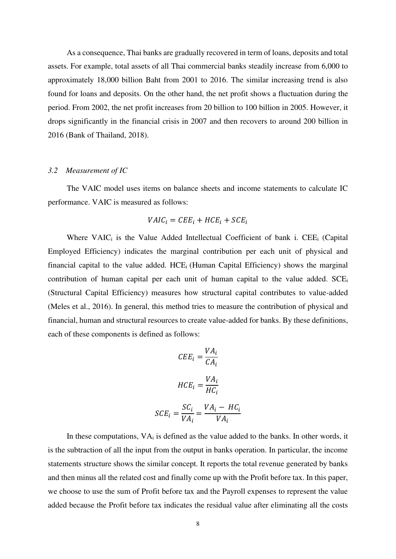As a consequence, Thai banks are gradually recovered in term of loans, deposits and total assets. For example, total assets of all Thai commercial banks steadily increase from 6,000 to approximately 18,000 billion Baht from 2001 to 2016. The similar increasing trend is also found for loans and deposits. On the other hand, the net profit shows a fluctuation during the period. From 2002, the net profit increases from 20 billion to 100 billion in 2005. However, it drops significantly in the financial crisis in 2007 and then recovers to around 200 billion in 2016 (Bank of Thailand, 2018).

# *3.2 Measurement of IC*

The VAIC model uses items on balance sheets and income statements to calculate IC performance. VAIC is measured as follows:

# $V AIC_i = CEE_i + HCE_i + SCE_i$

Where VAIC<sub>i</sub> is the Value Added Intellectual Coefficient of bank i. CEE<sub>i</sub> (Capital Employed Efficiency) indicates the marginal contribution per each unit of physical and financial capital to the value added.  $HCE_i$  (Human Capital Efficiency) shows the marginal contribution of human capital per each unit of human capital to the value added. SCE<sub>i</sub> (Structural Capital Efficiency) measures how structural capital contributes to value-added (Meles et al., 2016). In general, this method tries to measure the contribution of physical and financial, human and structural resources to create value-added for banks. By these definitions, each of these components is defined as follows:

$$
CEE_i = \frac{VA_i}{CA_i}
$$

$$
HCE_i = \frac{VA_i}{HC_i}
$$

$$
SCE_i = \frac{SC_i}{VA_i} = \frac{VA_i - HC_i}{VA_i}
$$

In these computations,  $VA_i$  is defined as the value added to the banks. In other words, it is the subtraction of all the input from the output in banks operation. In particular, the income statements structure shows the similar concept. It reports the total revenue generated by banks and then minus all the related cost and finally come up with the Profit before tax. In this paper, we choose to use the sum of Profit before tax and the Payroll expenses to represent the value added because the Profit before tax indicates the residual value after eliminating all the costs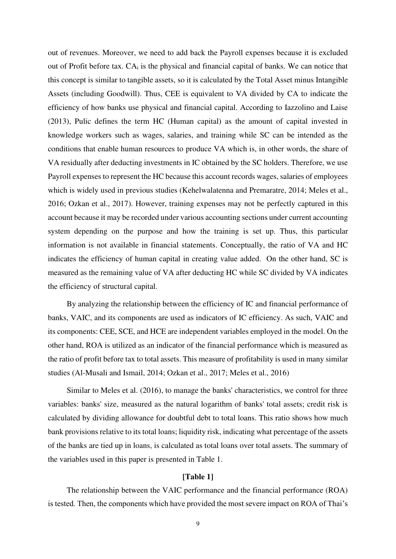out of revenues. Moreover, we need to add back the Payroll expenses because it is excluded out of Profit before tax.  $CA_i$  is the physical and financial capital of banks. We can notice that this concept is similar to tangible assets, so it is calculated by the Total Asset minus Intangible Assets (including Goodwill). Thus, CEE is equivalent to VA divided by CA to indicate the efficiency of how banks use physical and financial capital. According to Iazzolino and Laise (2013), Pulic defines the term HC (Human capital) as the amount of capital invested in knowledge workers such as wages, salaries, and training while SC can be intended as the conditions that enable human resources to produce VA which is, in other words, the share of VA residually after deducting investments in IC obtained by the SC holders. Therefore, we use Payroll expenses to represent the HC because this account records wages, salaries of employees which is widely used in previous studies (Kehelwalatenna and Premaratre, 2014; Meles et al., 2016; Ozkan et al., 2017). However, training expenses may not be perfectly captured in this account because it may be recorded under various accounting sections under current accounting system depending on the purpose and how the training is set up. Thus, this particular information is not available in financial statements. Conceptually, the ratio of VA and HC indicates the efficiency of human capital in creating value added. On the other hand, SC is measured as the remaining value of VA after deducting HC while SC divided by VA indicates the efficiency of structural capital.

By analyzing the relationship between the efficiency of IC and financial performance of banks, VAIC, and its components are used as indicators of IC efficiency. As such, VAIC and its components: CEE, SCE, and HCE are independent variables employed in the model. On the other hand, ROA is utilized as an indicator of the financial performance which is measured as the ratio of profit before tax to total assets. This measure of profitability is used in many similar studies (Al-Musali and Ismail, 2014; Ozkan et al., 2017; Meles et al., 2016)

Similar to Meles et al. (2016), to manage the banks' characteristics, we control for three variables: banks' size, measured as the natural logarithm of banks' total assets; credit risk is calculated by dividing allowance for doubtful debt to total loans. This ratio shows how much bank provisions relative to its total loans; liquidity risk, indicating what percentage of the assets of the banks are tied up in loans, is calculated as total loans over total assets. The summary of the variables used in this paper is presented in Table 1.

### **[Table 1]**

The relationship between the VAIC performance and the financial performance (ROA) is tested. Then, the components which have provided the most severe impact on ROA of Thai's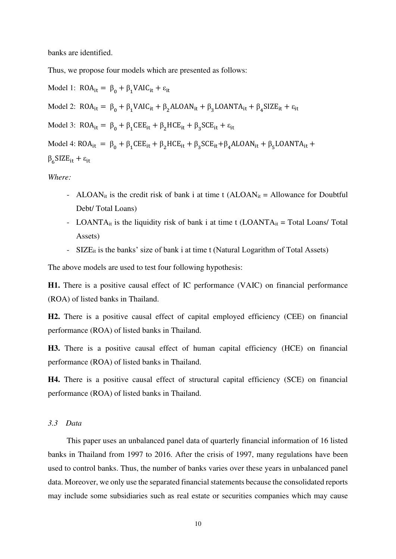banks are identified.

Thus, we propose four models which are presented as follows:

Model 1:  $ROA_{it} = \beta_0 + \beta_1 VAIC_{it} + \varepsilon_{it}$ Model 2:  $ROA_{it} = \beta_0 + \beta_1 VAIC_{it} + \beta_2 ALOAN_{it} + \beta_3 LOANTA_{it} + \beta_4 SIZE_{it} + \varepsilon_{it}$ Model 3:  $ROA_{it} = \beta_0 + \beta_1 CEE_{it} + \beta_2 HCE_{it} + \beta_3 SCE_{it} + \varepsilon_{it}$ Model 4:  $ROA_{it} = \beta_0 + \beta_1 CEE_{it} + \beta_2 HCE_{it} + \beta_3 SCE_{it} + \beta_4 ALOAN_{it} + \beta_5 LOANTA_{it} +$  $β<sub>6</sub> SIZE<sub>it</sub> + ε<sub>it</sub>$ 

*Where:* 

- ALOAN<sub>it</sub> is the credit risk of bank i at time t (ALOAN<sub>it</sub> = Allowance for Doubtful Debt/ Total Loans)
- LOANTA<sub>it</sub> is the liquidity risk of bank i at time t  $(LOANTA_{it} = Total$  Loans/ Total Assets)
- SIZE<sub>it</sub> is the banks' size of bank i at time t (Natural Logarithm of Total Assets)

The above models are used to test four following hypothesis:

**H1.** There is a positive causal effect of IC performance (VAIC) on financial performance (ROA) of listed banks in Thailand.

**H2.** There is a positive causal effect of capital employed efficiency (CEE) on financial performance (ROA) of listed banks in Thailand.

**H3.** There is a positive causal effect of human capital efficiency (HCE) on financial performance (ROA) of listed banks in Thailand.

**H4.** There is a positive causal effect of structural capital efficiency (SCE) on financial performance (ROA) of listed banks in Thailand.

#### *3.3 Data*

This paper uses an unbalanced panel data of quarterly financial information of 16 listed banks in Thailand from 1997 to 2016. After the crisis of 1997, many regulations have been used to control banks. Thus, the number of banks varies over these years in unbalanced panel data. Moreover, we only use the separated financial statements because the consolidated reports may include some subsidiaries such as real estate or securities companies which may cause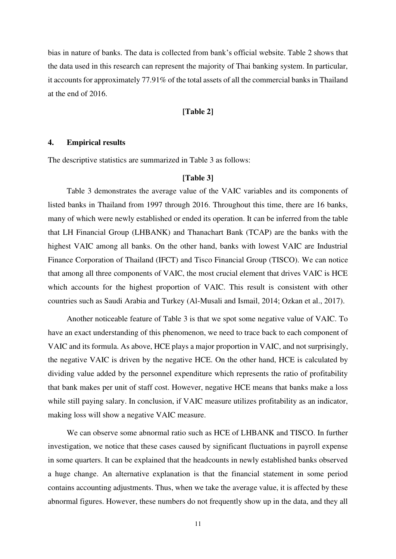bias in nature of banks. The data is collected from bank's official website. Table 2 shows that the data used in this research can represent the majority of Thai banking system. In particular, it accounts for approximately 77.91% of the total assets of all the commercial banks in Thailand at the end of 2016.

#### **[Table 2]**

# **4. Empirical results**

The descriptive statistics are summarized in Table 3 as follows:

# **[Table 3]**

Table 3 demonstrates the average value of the VAIC variables and its components of listed banks in Thailand from 1997 through 2016. Throughout this time, there are 16 banks, many of which were newly established or ended its operation. It can be inferred from the table that LH Financial Group (LHBANK) and Thanachart Bank (TCAP) are the banks with the highest VAIC among all banks. On the other hand, banks with lowest VAIC are Industrial Finance Corporation of Thailand (IFCT) and Tisco Financial Group (TISCO). We can notice that among all three components of VAIC, the most crucial element that drives VAIC is HCE which accounts for the highest proportion of VAIC. This result is consistent with other countries such as Saudi Arabia and Turkey (Al-Musali and Ismail, 2014; Ozkan et al., 2017).

Another noticeable feature of Table 3 is that we spot some negative value of VAIC. To have an exact understanding of this phenomenon, we need to trace back to each component of VAIC and its formula. As above, HCE plays a major proportion in VAIC, and not surprisingly, the negative VAIC is driven by the negative HCE. On the other hand, HCE is calculated by dividing value added by the personnel expenditure which represents the ratio of profitability that bank makes per unit of staff cost. However, negative HCE means that banks make a loss while still paying salary. In conclusion, if VAIC measure utilizes profitability as an indicator, making loss will show a negative VAIC measure.

We can observe some abnormal ratio such as HCE of LHBANK and TISCO. In further investigation, we notice that these cases caused by significant fluctuations in payroll expense in some quarters. It can be explained that the headcounts in newly established banks observed a huge change. An alternative explanation is that the financial statement in some period contains accounting adjustments. Thus, when we take the average value, it is affected by these abnormal figures. However, these numbers do not frequently show up in the data, and they all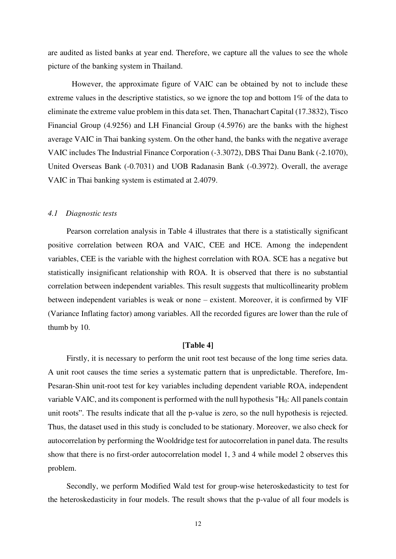are audited as listed banks at year end. Therefore, we capture all the values to see the whole picture of the banking system in Thailand.

 However, the approximate figure of VAIC can be obtained by not to include these extreme values in the descriptive statistics, so we ignore the top and bottom 1% of the data to eliminate the extreme value problem in this data set. Then, Thanachart Capital (17.3832), Tisco Financial Group (4.9256) and LH Financial Group (4.5976) are the banks with the highest average VAIC in Thai banking system. On the other hand, the banks with the negative average VAIC includes The Industrial Finance Corporation (-3.3072), DBS Thai Danu Bank (-2.1070), United Overseas Bank (-0.7031) and UOB Radanasin Bank (-0.3972). Overall, the average VAIC in Thai banking system is estimated at 2.4079.

# *4.1 Diagnostic tests*

Pearson correlation analysis in Table 4 illustrates that there is a statistically significant positive correlation between ROA and VAIC, CEE and HCE. Among the independent variables, CEE is the variable with the highest correlation with ROA. SCE has a negative but statistically insignificant relationship with ROA. It is observed that there is no substantial correlation between independent variables. This result suggests that multicollinearity problem between independent variables is weak or none – existent. Moreover, it is confirmed by VIF (Variance Inflating factor) among variables. All the recorded figures are lower than the rule of thumb by 10.

# **[Table 4]**

Firstly, it is necessary to perform the unit root test because of the long time series data. A unit root causes the time series a systematic pattern that is unpredictable. Therefore, Im-Pesaran-Shin unit-root test for key variables including dependent variable ROA, independent variable VAIC, and its component is performed with the null hypothesis "H0: All panels contain unit roots". The results indicate that all the p-value is zero, so the null hypothesis is rejected. Thus, the dataset used in this study is concluded to be stationary. Moreover, we also check for autocorrelation by performing the Wooldridge test for autocorrelation in panel data. The results show that there is no first-order autocorrelation model 1, 3 and 4 while model 2 observes this problem.

Secondly, we perform Modified Wald test for group-wise heteroskedasticity to test for the heteroskedasticity in four models. The result shows that the p-value of all four models is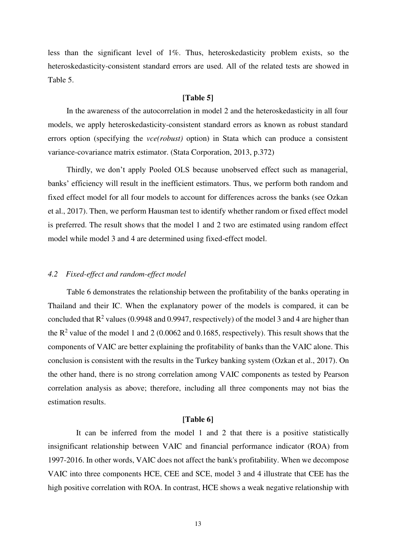less than the significant level of 1%. Thus, heteroskedasticity problem exists, so the heteroskedasticity-consistent standard errors are used. All of the related tests are showed in Table 5.

# **[Table 5]**

In the awareness of the autocorrelation in model 2 and the heteroskedasticity in all four models, we apply heteroskedasticity-consistent standard errors as known as robust standard errors option (specifying the *vce(robust)* option) in Stata which can produce a consistent variance-covariance matrix estimator. (Stata Corporation, 2013, p.372)

Thirdly, we don't apply Pooled OLS because unobserved effect such as managerial, banks' efficiency will result in the inefficient estimators. Thus, we perform both random and fixed effect model for all four models to account for differences across the banks (see Ozkan et al., 2017). Then, we perform Hausman test to identify whether random or fixed effect model is preferred. The result shows that the model 1 and 2 two are estimated using random effect model while model 3 and 4 are determined using fixed-effect model.

# *4.2 Fixed-effect and random-effect model*

Table 6 demonstrates the relationship between the profitability of the banks operating in Thailand and their IC. When the explanatory power of the models is compared, it can be concluded that  $R^2$  values (0.9948 and 0.9947, respectively) of the model 3 and 4 are higher than the  $R^2$  value of the model 1 and 2 (0.0062 and 0.1685, respectively). This result shows that the components of VAIC are better explaining the profitability of banks than the VAIC alone. This conclusion is consistent with the results in the Turkey banking system (Ozkan et al., 2017). On the other hand, there is no strong correlation among VAIC components as tested by Pearson correlation analysis as above; therefore, including all three components may not bias the estimation results.

# **[Table 6]**

It can be inferred from the model 1 and 2 that there is a positive statistically insignificant relationship between VAIC and financial performance indicator (ROA) from 1997-2016. In other words, VAIC does not affect the bank's profitability. When we decompose VAIC into three components HCE, CEE and SCE, model 3 and 4 illustrate that CEE has the high positive correlation with ROA. In contrast, HCE shows a weak negative relationship with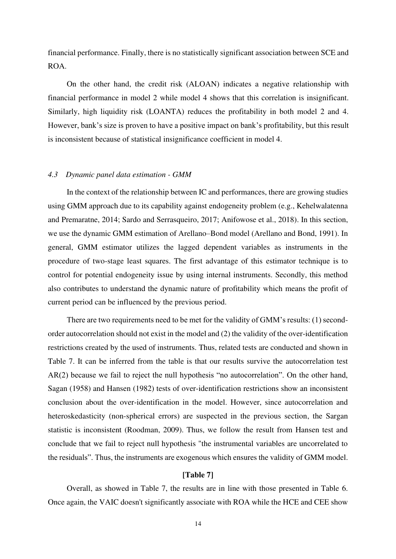financial performance. Finally, there is no statistically significant association between SCE and ROA.

On the other hand, the credit risk (ALOAN) indicates a negative relationship with financial performance in model 2 while model 4 shows that this correlation is insignificant. Similarly, high liquidity risk (LOANTA) reduces the profitability in both model 2 and 4. However, bank's size is proven to have a positive impact on bank's profitability, but this result is inconsistent because of statistical insignificance coefficient in model 4.

# *4.3 Dynamic panel data estimation - GMM*

In the context of the relationship between IC and performances, there are growing studies using GMM approach due to its capability against endogeneity problem (e.g., Kehelwalatenna and Premaratne, 2014; Sardo and Serrasqueiro, 2017; Anifowose et al., 2018). In this section, we use the dynamic GMM estimation of Arellano–Bond model (Arellano and Bond, 1991). In general, GMM estimator utilizes the lagged dependent variables as instruments in the procedure of two-stage least squares. The first advantage of this estimator technique is to control for potential endogeneity issue by using internal instruments. Secondly, this method also contributes to understand the dynamic nature of profitability which means the profit of current period can be influenced by the previous period.

There are two requirements need to be met for the validity of GMM's results: (1) secondorder autocorrelation should not exist in the model and (2) the validity of the over-identification restrictions created by the used of instruments. Thus, related tests are conducted and shown in Table 7. It can be inferred from the table is that our results survive the autocorrelation test AR(2) because we fail to reject the null hypothesis "no autocorrelation". On the other hand, Sagan (1958) and Hansen (1982) tests of over-identification restrictions show an inconsistent conclusion about the over-identification in the model. However, since autocorrelation and heteroskedasticity (non-spherical errors) are suspected in the previous section, the Sargan statistic is inconsistent (Roodman, 2009). Thus, we follow the result from Hansen test and conclude that we fail to reject null hypothesis "the instrumental variables are uncorrelated to the residuals". Thus, the instruments are exogenous which ensures the validity of GMM model.

# **[Table 7]**

Overall, as showed in Table 7, the results are in line with those presented in Table 6. Once again, the VAIC doesn't significantly associate with ROA while the HCE and CEE show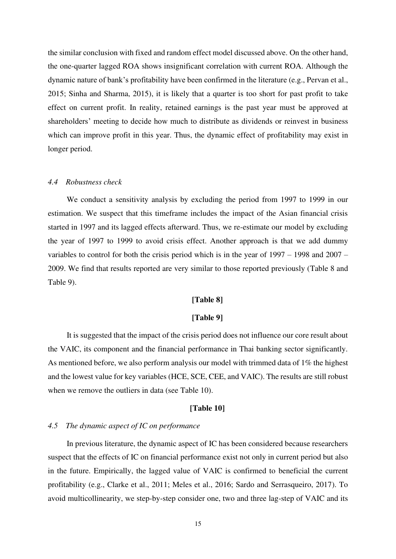the similar conclusion with fixed and random effect model discussed above. On the other hand, the one-quarter lagged ROA shows insignificant correlation with current ROA. Although the dynamic nature of bank's profitability have been confirmed in the literature (e.g., Pervan et al., 2015; Sinha and Sharma, 2015), it is likely that a quarter is too short for past profit to take effect on current profit. In reality, retained earnings is the past year must be approved at shareholders' meeting to decide how much to distribute as dividends or reinvest in business which can improve profit in this year. Thus, the dynamic effect of profitability may exist in longer period.

#### *4.4 Robustness check*

We conduct a sensitivity analysis by excluding the period from 1997 to 1999 in our estimation. We suspect that this timeframe includes the impact of the Asian financial crisis started in 1997 and its lagged effects afterward. Thus, we re-estimate our model by excluding the year of 1997 to 1999 to avoid crisis effect. Another approach is that we add dummy variables to control for both the crisis period which is in the year of 1997 – 1998 and 2007 – 2009. We find that results reported are very similar to those reported previously (Table 8 and Table 9).

# **[Table 8]**

# **[Table 9]**

It is suggested that the impact of the crisis period does not influence our core result about the VAIC, its component and the financial performance in Thai banking sector significantly. As mentioned before, we also perform analysis our model with trimmed data of 1% the highest and the lowest value for key variables (HCE, SCE, CEE, and VAIC). The results are still robust when we remove the outliers in data (see Table 10).

#### **[Table 10]**

# *4.5 The dynamic aspect of IC on performance*

In previous literature, the dynamic aspect of IC has been considered because researchers suspect that the effects of IC on financial performance exist not only in current period but also in the future. Empirically, the lagged value of VAIC is confirmed to beneficial the current profitability (e.g., Clarke et al., 2011; Meles et al., 2016; Sardo and Serrasqueiro, 2017). To avoid multicollinearity, we step-by-step consider one, two and three lag-step of VAIC and its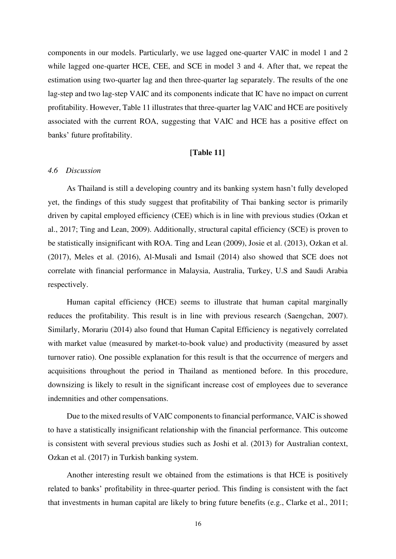components in our models. Particularly, we use lagged one-quarter VAIC in model 1 and 2 while lagged one-quarter HCE, CEE, and SCE in model 3 and 4. After that, we repeat the estimation using two-quarter lag and then three-quarter lag separately. The results of the one lag-step and two lag-step VAIC and its components indicate that IC have no impact on current profitability. However, Table 11 illustrates that three-quarter lag VAIC and HCE are positively associated with the current ROA, suggesting that VAIC and HCE has a positive effect on banks' future profitability.

# **[Table 11]**

#### *4.6 Discussion*

As Thailand is still a developing country and its banking system hasn't fully developed yet, the findings of this study suggest that profitability of Thai banking sector is primarily driven by capital employed efficiency (CEE) which is in line with previous studies (Ozkan et al., 2017; Ting and Lean, 2009). Additionally, structural capital efficiency (SCE) is proven to be statistically insignificant with ROA. Ting and Lean (2009), Josie et al. (2013), Ozkan et al. (2017), Meles et al. (2016), Al-Musali and Ismail (2014) also showed that SCE does not correlate with financial performance in Malaysia, Australia, Turkey, U.S and Saudi Arabia respectively.

Human capital efficiency (HCE) seems to illustrate that human capital marginally reduces the profitability. This result is in line with previous research (Saengchan, 2007). Similarly, Morariu (2014) also found that Human Capital Efficiency is negatively correlated with market value (measured by market-to-book value) and productivity (measured by asset turnover ratio). One possible explanation for this result is that the occurrence of mergers and acquisitions throughout the period in Thailand as mentioned before. In this procedure, downsizing is likely to result in the significant increase cost of employees due to severance indemnities and other compensations.

Due to the mixed results of VAIC components to financial performance, VAIC is showed to have a statistically insignificant relationship with the financial performance. This outcome is consistent with several previous studies such as Joshi et al. (2013) for Australian context, Ozkan et al. (2017) in Turkish banking system.

Another interesting result we obtained from the estimations is that HCE is positively related to banks' profitability in three-quarter period. This finding is consistent with the fact that investments in human capital are likely to bring future benefits (e.g., Clarke et al., 2011;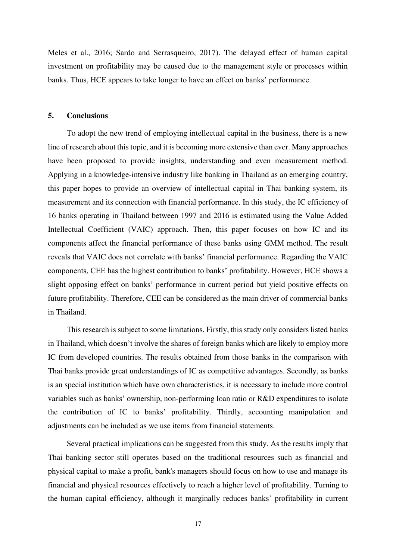Meles et al., 2016; Sardo and Serrasqueiro, 2017). The delayed effect of human capital investment on profitability may be caused due to the management style or processes within banks. Thus, HCE appears to take longer to have an effect on banks' performance.

# **5. Conclusions**

To adopt the new trend of employing intellectual capital in the business, there is a new line of research about this topic, and it is becoming more extensive than ever. Many approaches have been proposed to provide insights, understanding and even measurement method. Applying in a knowledge-intensive industry like banking in Thailand as an emerging country, this paper hopes to provide an overview of intellectual capital in Thai banking system, its measurement and its connection with financial performance. In this study, the IC efficiency of 16 banks operating in Thailand between 1997 and 2016 is estimated using the Value Added Intellectual Coefficient (VAIC) approach. Then, this paper focuses on how IC and its components affect the financial performance of these banks using GMM method. The result reveals that VAIC does not correlate with banks' financial performance. Regarding the VAIC components, CEE has the highest contribution to banks' profitability. However, HCE shows a slight opposing effect on banks' performance in current period but yield positive effects on future profitability. Therefore, CEE can be considered as the main driver of commercial banks in Thailand.

This research is subject to some limitations. Firstly, this study only considers listed banks in Thailand, which doesn't involve the shares of foreign banks which are likely to employ more IC from developed countries. The results obtained from those banks in the comparison with Thai banks provide great understandings of IC as competitive advantages. Secondly, as banks is an special institution which have own characteristics, it is necessary to include more control variables such as banks' ownership, non-performing loan ratio or R&D expenditures to isolate the contribution of IC to banks' profitability. Thirdly, accounting manipulation and adjustments can be included as we use items from financial statements.

Several practical implications can be suggested from this study. As the results imply that Thai banking sector still operates based on the traditional resources such as financial and physical capital to make a profit, bank's managers should focus on how to use and manage its financial and physical resources effectively to reach a higher level of profitability. Turning to the human capital efficiency, although it marginally reduces banks' profitability in current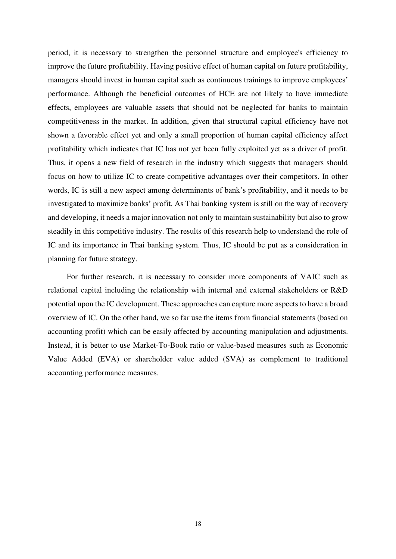period, it is necessary to strengthen the personnel structure and employee's efficiency to improve the future profitability. Having positive effect of human capital on future profitability, managers should invest in human capital such as continuous trainings to improve employees' performance. Although the beneficial outcomes of HCE are not likely to have immediate effects, employees are valuable assets that should not be neglected for banks to maintain competitiveness in the market. In addition, given that structural capital efficiency have not shown a favorable effect yet and only a small proportion of human capital efficiency affect profitability which indicates that IC has not yet been fully exploited yet as a driver of profit. Thus, it opens a new field of research in the industry which suggests that managers should focus on how to utilize IC to create competitive advantages over their competitors. In other words, IC is still a new aspect among determinants of bank's profitability, and it needs to be investigated to maximize banks' profit. As Thai banking system is still on the way of recovery and developing, it needs a major innovation not only to maintain sustainability but also to grow steadily in this competitive industry. The results of this research help to understand the role of IC and its importance in Thai banking system. Thus, IC should be put as a consideration in planning for future strategy.

For further research, it is necessary to consider more components of VAIC such as relational capital including the relationship with internal and external stakeholders or R&D potential upon the IC development. These approaches can capture more aspects to have a broad overview of IC. On the other hand, we so far use the items from financial statements (based on accounting profit) which can be easily affected by accounting manipulation and adjustments. Instead, it is better to use Market-To-Book ratio or value-based measures such as Economic Value Added (EVA) or shareholder value added (SVA) as complement to traditional accounting performance measures.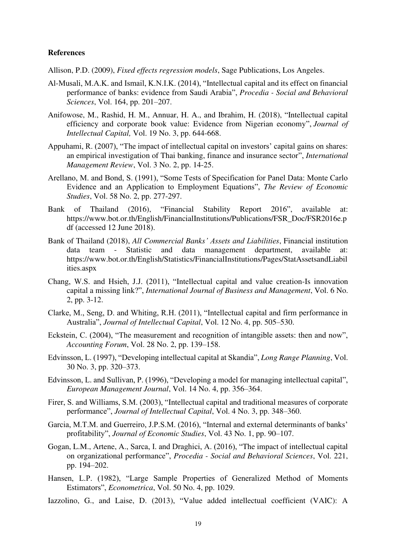# **References**

Allison, P.D. (2009), *Fixed effects regression models*, Sage Publications, Los Angeles.

- Al-Musali, M.A.K. and Ismail, K.N.I.K. (2014), "Intellectual capital and its effect on financial performance of banks: evidence from Saudi Arabia", *Procedia - Social and Behavioral Sciences*, Vol. 164, pp. 201–207.
- Anifowose, M., Rashid, H. M., Annuar, H. A., and Ibrahim, H. (2018), "Intellectual capital efficiency and corporate book value: Evidence from Nigerian economy", *Journal of Intellectual Capital,* Vol. 19 No. 3, pp. 644-668.
- Appuhami, R. (2007), "The impact of intellectual capital on investors' capital gains on shares: an empirical investigation of Thai banking, finance and insurance sector", *International Management Review*, Vol. 3 No. 2, pp. 14-25.
- Arellano, M. and Bond, S. (1991), "Some Tests of Specification for Panel Data: Monte Carlo Evidence and an Application to Employment Equations", *The Review of Economic Studies*, Vol. 58 No. 2, pp. 277-297.
- Bank of Thailand (2016), "Financial Stability Report 2016", available at: [https://www.bot.or.th/English/FinancialInstitutions/Publications/FSR\\_Doc/FSR2016e.p](https://www.bot.or.th/English/FinancialInstitutions/Publications/FSR_Doc/FSR2016e.pdf) [df](https://www.bot.or.th/English/FinancialInstitutions/Publications/FSR_Doc/FSR2016e.pdf) (accessed 12 June 2018).
- Bank of Thailand (2018), *All Commercial Banks' Assets and Liabilities*, Financial institution data team - Statistic and data management department, available at: https://www.bot.or.th/English/Statistics/FinancialInstitutions/Pages/StatAssetsandLiabil ities.aspx
- Chang, W.S. and Hsieh, J.J. (2011), "Intellectual capital and value creation-Is innovation capital a missing link?", *International Journal of Business and Management*, Vol. 6 No. 2, pp. 3-12.
- Clarke, M., Seng, D. and Whiting, R.H. (2011), "Intellectual capital and firm performance in Australia", *Journal of Intellectual Capital*, Vol. 12 No. 4, pp. 505–530.
- Eckstein, C. (2004), "The measurement and recognition of intangible assets: then and now", *Accounting Forum*, Vol. 28 No. 2, pp. 139–158.
- Edvinsson, L. (1997), "Developing intellectual capital at Skandia", *Long Range Planning*, Vol. 30 No. 3, pp. 320–373.
- Edvinsson, L. and Sullivan, P. (1996), "Developing a model for managing intellectual capital", *European Management Journal*, Vol. 14 No. 4, pp. 356–364.
- Firer, S. and Williams, S.M. (2003), "Intellectual capital and traditional measures of corporate performance", *Journal of Intellectual Capital*, Vol. 4 No. 3, pp. 348–360.
- Garcia, M.T.M. and Guerreiro, J.P.S.M. (2016), "Internal and external determinants of banks' profitability", *Journal of Economic Studies*, Vol. 43 No. 1, pp. 90–107.
- Gogan, L.M., Artene, A., Sarca, I. and Draghici, A. (2016), "The impact of intellectual capital on organizational performance", *Procedia - Social and Behavioral Sciences*, Vol. 221, pp. 194–202.
- Hansen, L.P. (1982), "Large Sample Properties of Generalized Method of Moments Estimators", *Econometrica*, Vol. 50 No. 4, pp. 1029.
- Iazzolino, G., and Laise, D. (2013), "Value added intellectual coefficient (VAIC): A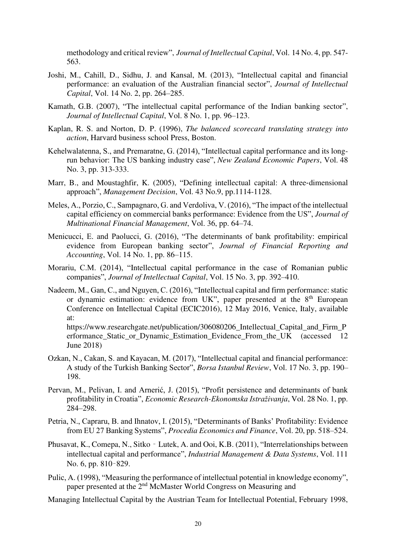methodology and critical review", *Journal of Intellectual Capital*, Vol. 14 No. 4, pp. 547- 563.

- Joshi, M., Cahill, D., Sidhu, J. and Kansal, M. (2013), "Intellectual capital and financial performance: an evaluation of the Australian financial sector", *Journal of Intellectual Capital*, Vol. 14 No. 2, pp. 264–285.
- Kamath, G.B. (2007), "The intellectual capital performance of the Indian banking sector", *Journal of Intellectual Capital*, Vol. 8 No. 1, pp. 96–123.
- Kaplan, R. S. and Norton, D. P. (1996), *The balanced scorecard translating strategy into action*, Harvard business school Press, Boston.
- Kehelwalatenna, S., and Premaratne, G. (2014), "Intellectual capital performance and its longrun behavior: The US banking industry case", *New Zealand Economic Papers*, Vol. 48 No. 3, pp. 313-333.
- Marr, B., and Moustaghfir, K. (2005), "Defining intellectual capital: A three-dimensional approach", *Management Decision*, Vol. 43 No.9, pp.1114-1128.
- Meles, A., Porzio, C., Sampagnaro, G. and Verdoliva, V. (2016), "The impact of the intellectual capital efficiency on commercial banks performance: Evidence from the US", *Journal of Multinational Financial Management*, Vol. 36, pp. 64–74.
- Menicucci, E. and Paolucci, G. (2016), "The determinants of bank profitability: empirical evidence from European banking sector", *Journal of Financial Reporting and Accounting*, Vol. 14 No. 1, pp. 86–115.
- Morariu, C.M. (2014), "Intellectual capital performance in the case of Romanian public companies", *Journal of Intellectual Capital*, Vol. 15 No. 3, pp. 392–410.
- Nadeem, M., Gan, C., and Nguyen, C. (2016), "Intellectual capital and firm performance: static or dynamic estimation: evidence from UK", paper presented at the 8<sup>th</sup> European Conference on Intellectual Capital (ECIC2016), 12 May 2016, Venice, Italy, available at:

[https://www.researchgate.net/publication/306080206\\_Intellectual\\_Capital\\_and\\_Firm\\_P](https://www.researchgate.net/publication/306080206_Intellectual_Capital_and_Firm_Performance_Static_or_Dynamic_Estimation_Evidence_From_the_UK) erformance Static or Dynamic Estimation Evidence From the UK (accessed 12 June 2018)

- Ozkan, N., Cakan, S. and Kayacan, M. (2017), "Intellectual capital and financial performance: A study of the Turkish Banking Sector", *Borsa Istanbul Review*, Vol. 17 No. 3, pp. 190– 198.
- Pervan, M., Pelivan, I. and Arnerić, J. (2015), "Profit persistence and determinants of bank profitability in Croatia", *Economic Research-Ekonomska Istraživanja*, Vol. 28 No. 1, pp. 284–298.
- Petria, N., Capraru, B. and Ihnatov, I. (2015), "Determinants of Banks' Profitability: Evidence from EU 27 Banking Systems", *Procedia Economics and Finance*, Vol. 20, pp. 518–524.
- Phusavat, K., Comepa, N., Sitko Lutek, A. and Ooi, K.B. (2011), "Interrelationships between intellectual capital and performance", *Industrial Management & Data Systems*, Vol. 111 No. 6, pp. 810–829.
- Pulic, A. (1998), "Measuring the performance of intellectual potential in knowledge economy", paper presented at the 2<sup>nd</sup> McMaster World Congress on Measuring and
- Managing Intellectual Capital by the Austrian Team for Intellectual Potential, February 1998,